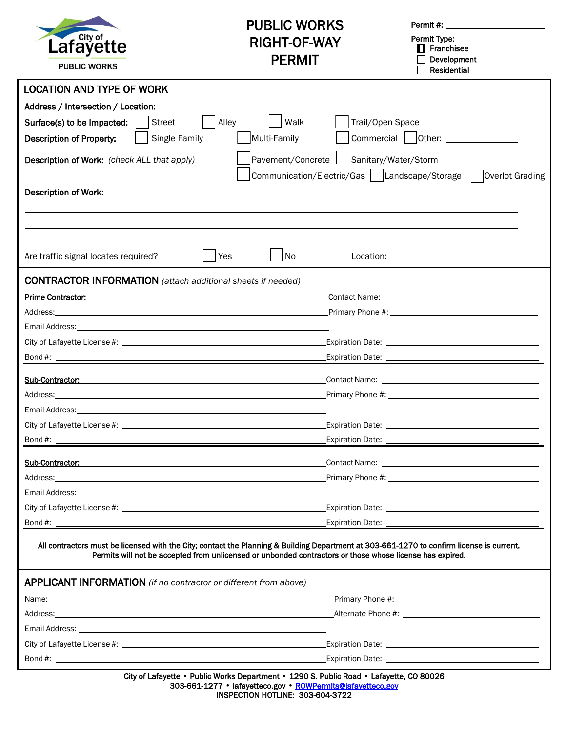

## PUBLIC WORKS RIGHT-OF-WAY PERMIT

Permit #: \_\_

 Permit Type:  $\mathbf{\mathbf{\underline{I}}}$  Franchisee

Development Residential

| <b>LOCATION AND TYPE OF WORK</b>                                                                                                                                                                                                                                                                                                                                                                                                                                      |
|-----------------------------------------------------------------------------------------------------------------------------------------------------------------------------------------------------------------------------------------------------------------------------------------------------------------------------------------------------------------------------------------------------------------------------------------------------------------------|
| Address / Intersection / Location:                                                                                                                                                                                                                                                                                                                                                                                                                                    |
| Alley<br>Walk<br>Surface(s) to be Impacted:<br>Trail/Open Space<br><b>Street</b>                                                                                                                                                                                                                                                                                                                                                                                      |
| Multi-Family<br>Commercial   Other:<br>Single Family<br>Description of Property:                                                                                                                                                                                                                                                                                                                                                                                      |
| Pavement/Concrete   Sanitary/Water/Storm<br>Description of Work: (check ALL that apply)<br>Communication/Electric/Gas   Landscape/Storage<br>Overlot Grading                                                                                                                                                                                                                                                                                                          |
| <b>Description of Work:</b>                                                                                                                                                                                                                                                                                                                                                                                                                                           |
|                                                                                                                                                                                                                                                                                                                                                                                                                                                                       |
| No<br>Are traffic signal locates required?<br>Yes<br>Location: the contract of the contract of the contract of the contract of the contract of the contract of the contract of the contract of the contract of the contract of the contract of the contract of the contract of the                                                                                                                                                                                    |
| <b>CONTRACTOR INFORMATION</b> (attach additional sheets if needed)                                                                                                                                                                                                                                                                                                                                                                                                    |
| Prime Contractor:                                                                                                                                                                                                                                                                                                                                                                                                                                                     |
| Address:                                                                                                                                                                                                                                                                                                                                                                                                                                                              |
|                                                                                                                                                                                                                                                                                                                                                                                                                                                                       |
| Expiration Date: <u>contract and a series of the series of the series of the series of the series of the series of the series of the series of the series of the series of the series of the series of the series of the series </u>                                                                                                                                                                                                                                  |
|                                                                                                                                                                                                                                                                                                                                                                                                                                                                       |
| Sub-Contractor:                                                                                                                                                                                                                                                                                                                                                                                                                                                       |
| Address: <u>Address:</u> Address: Address: Address: Address: Address: Address: Address: Address: Address: Address: Address: Address: Address: Address: Address: Address: Address: Address: Address: Address: Address: Address: Addr                                                                                                                                                                                                                                   |
|                                                                                                                                                                                                                                                                                                                                                                                                                                                                       |
|                                                                                                                                                                                                                                                                                                                                                                                                                                                                       |
|                                                                                                                                                                                                                                                                                                                                                                                                                                                                       |
| Sub-Contractor:<br>Contact Name: The Contact Name: The Contact Name: The Contact Name: The Contact Name: The Contact Name: The Contact Name: The Contact Name: The Contact Name: The Contact Name: The Contact Name: The Contact Name: The Contac                                                                                                                                                                                                                     |
| <b>Primary Phone #:</b> The set of the set of the set of the set of the set of the set of the set of the set of the set of the set of the set of the set of the set of the set of the set of the set of the set of the set of the s<br>Address: Note that the contract of the contract of the contract of the contract of the contract of the contract of the contract of the contract of the contract of the contract of the contract of the contract of the contrac |
| Email Address:                                                                                                                                                                                                                                                                                                                                                                                                                                                        |
|                                                                                                                                                                                                                                                                                                                                                                                                                                                                       |
| Bond #: New York State State State State State State State State State State State State State State State State State State State State State State State State State State State State State State State State State State S                                                                                                                                                                                                                                        |
| All contractors must be licensed with the City; contact the Planning & Building Department at 303-661-1270 to confirm license is current.<br>Permits will not be accepted from unlicensed or unbonded contractors or those whose license has expired.                                                                                                                                                                                                                 |
| <b>APPLICANT INFORMATION</b> (if no contractor or different from above)                                                                                                                                                                                                                                                                                                                                                                                               |
| Name: Name and the second contract of the second contract of the second contract of the second contract of the second contract of the second contract of the second contract of the second contract of the second contract of                                                                                                                                                                                                                                         |
|                                                                                                                                                                                                                                                                                                                                                                                                                                                                       |
|                                                                                                                                                                                                                                                                                                                                                                                                                                                                       |
|                                                                                                                                                                                                                                                                                                                                                                                                                                                                       |
|                                                                                                                                                                                                                                                                                                                                                                                                                                                                       |
| City of Lafayette • Public Works Department • 1290 S. Public Road • Lafayette, CO 80026                                                                                                                                                                                                                                                                                                                                                                               |